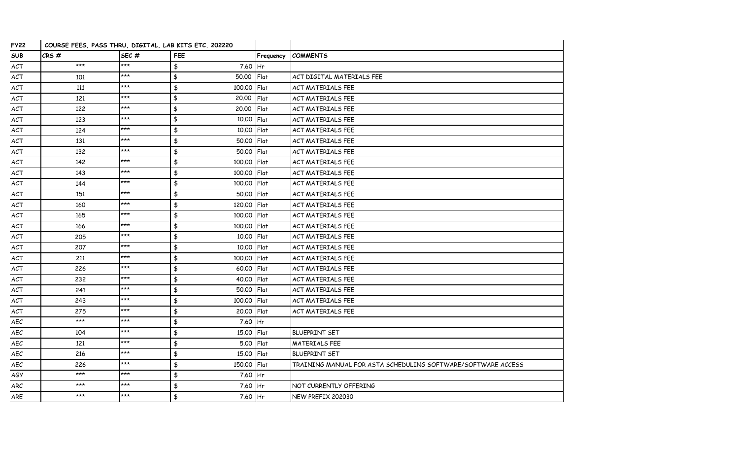| <b>FY22</b> | COURSE FEES, PASS THRU, DIGITAL, LAB KITS ETC. 202220 |       |                                      |           |                                                              |
|-------------|-------------------------------------------------------|-------|--------------------------------------|-----------|--------------------------------------------------------------|
| <b>SUB</b>  | CRS#                                                  | SEC#  | <b>FEE</b>                           | Frequency | <b>COMMENTS</b>                                              |
| ACT         | $***$                                                 | $***$ | $\frac{4}{3}$<br>7.60 Hr             |           |                                                              |
| ACT         | 101                                                   | $***$ | $\frac{4}{3}$<br>50.00 Flat          |           | ACT DIGITAL MATERIALS FEE                                    |
| ACT         | 111                                                   | $***$ | $\frac{4}{3}$<br>100.00 Flat         |           | <b>ACT MATERIALS FEE</b>                                     |
| ACT         | 121                                                   | $***$ | $\frac{4}{3}$<br>20,00               | Flat      | <b>ACT MATERIALS FEE</b>                                     |
| ACT         | 122                                                   | $***$ | $\frac{1}{2}$<br>20.00 Flat          |           | ACT MATERIALS FEE                                            |
| ACT         | 123                                                   | $***$ | $\frac{4}{5}$<br>10.00 Flat          |           | <b>ACT MATERIALS FEE</b>                                     |
| ACT         | 124                                                   | $***$ | $\frac{4}{5}$<br>10.00 Flat          |           | <b>ACT MATERIALS FEE</b>                                     |
| ACT         | 131                                                   | $***$ | $\frac{4}{3}$<br>50.00 Flat          |           | <b>ACT MATERIALS FEE</b>                                     |
| ACT         | 132                                                   | $***$ | $\frac{4}{5}$<br>50.00 Flat          |           | <b>ACT MATERIALS FEE</b>                                     |
| ACT         | 142                                                   | ***   | $\frac{1}{2}$<br>100.00 Flat         |           | ACT MATERIALS FEE                                            |
| ACT         | 143                                                   | $***$ | $\frac{4}{3}$<br>100,00 Flat         |           | <b>ACT MATERIALS FEE</b>                                     |
| ACT         | 144                                                   | $***$ | $\frac{4}{5}$<br>100.00 Flat         |           | <b>ACT MATERIALS FEE</b>                                     |
| ACT         | 151                                                   | $***$ | $\frac{4}{5}$<br>50.00 Flat          |           | <b>ACT MATERIALS FEE</b>                                     |
| ACT         | 160                                                   | $***$ | $\frac{4}{3}$<br>120.00 Flat         |           | <b>ACT MATERIALS FEE</b>                                     |
| ACT         | 165                                                   | ***   | $\pmb{\mathfrak{\$}}$<br>100.00 Flat |           | ACT MATERIALS FEE                                            |
| ACT         | 166                                                   | $***$ | \$<br>100.00 Flat                    |           | <b>ACT MATERIALS FEE</b>                                     |
| ACT         | 205                                                   | $***$ | $\frac{4}{5}$<br>10.00 Flat          |           | <b>ACT MATERIALS FEE</b>                                     |
| ACT         | 207                                                   | ***   | $\frac{4}{3}$<br>10.00 Flat          |           | <b>ACT MATERIALS FEE</b>                                     |
| ACT         | 211                                                   | $***$ | $\frac{4}{3}$<br>100.00 Flat         |           | <b>ACT MATERIALS FEE</b>                                     |
| ACT         | 226                                                   | $***$ | $\pmb{\ddagger}$<br>60.00 Flat       |           | ACT MATERIALS FEE                                            |
| ACT         | 232                                                   | $***$ | $\frac{1}{2}$<br>40.00 Flat          |           | <b>ACT MATERIALS FEE</b>                                     |
| ACT         | 241                                                   | $***$ | $\frac{4}{5}$<br>50.00 Flat          |           | <b>ACT MATERIALS FEE</b>                                     |
| ACT         | 243                                                   | $***$ | $\frac{4}{5}$<br>100.00 Flat         |           | <b>ACT MATERIALS FEE</b>                                     |
| ACT         | 275                                                   | $***$ | $\frac{1}{2}$<br>20.00 Flat          |           | <b>ACT MATERIALS FEE</b>                                     |
| AEC         | $***$                                                 | $***$ | $\pmb{\mathfrak{\$}}$<br>7.60 Hr     |           |                                                              |
| AEC         | 104                                                   | $***$ | $\frac{4}{5}$<br>15.00 Flat          |           | <b>BLUEPRINT SET</b>                                         |
| AEC         | 121                                                   | $***$ | $\frac{4}{3}$<br>5.00 Flat           |           | <b>MATERIALS FEE</b>                                         |
| AEC         | 216                                                   | $***$ | $\frac{4}{5}$<br>15.00 Flat          |           | <b>BLUEPRINT SET</b>                                         |
| AEC         | 226                                                   | $***$ | $\frac{1}{2}$<br>150.00 Flat         |           | TRAINING MANUAL FOR ASTA SCHEDULING SOFTWARE/SOFTWARE ACCESS |
| AGY         | ***                                                   | $***$ | $\frac{1}{2}$<br>7.60 Hr             |           |                                                              |
| ARC         | $***$                                                 | $***$ | \$<br>$7.60$ Hr                      |           | NOT CURRENTLY OFFERING                                       |
| ARE         | ***                                                   | ***   | $\frac{4}{3}$<br>7.60 Hr             |           | NEW PREFIX 202030                                            |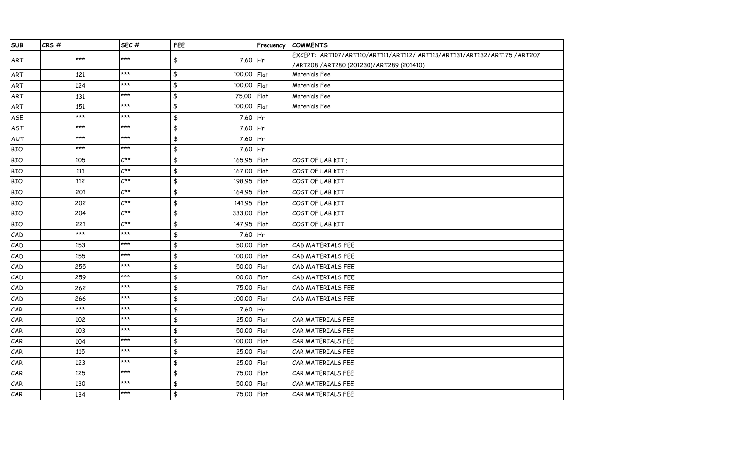| <b>SUB</b> | CRS#  | SEC#             | FEE                          | Frequency | <b>COMMENTS</b>                                                          |
|------------|-------|------------------|------------------------------|-----------|--------------------------------------------------------------------------|
| ART        | $***$ | ***              | \$<br>7.60 Hr                |           | EXCEPT: ART107/ART110/ART111/ART112/ ART113/ART131/ART132/ART175 /ART207 |
|            |       |                  |                              |           | /ART208 /ART280 (201230)/ART289 (201410)                                 |
| ART        | 121   | ***              | \$<br>100.00                 | Flat      | Materials Fee                                                            |
| ART        | 124   | ***              | \$<br>100.00 Flat            |           | Materials Fee                                                            |
| ART        | 131   | ***              | \$<br>75.00                  | Flat      | Materials Fee                                                            |
| ART        | 151   | $***$            | \$<br>100.00 Flat            |           | Materials Fee                                                            |
| ASE        | $***$ | $***$            | $\frac{1}{2}$<br>7.60        | Hr        |                                                                          |
| AST        | $***$ | $***$            | $\frac{1}{2}$<br>7.60        | <b>Hr</b> |                                                                          |
| AUT        | $***$ | $***$            | $\frac{1}{2}$<br>7.60 Hr     |           |                                                                          |
| <b>BIO</b> | $***$ | $***$            | \$<br>7.60 Hr                |           |                                                                          |
| <b>BIO</b> | 105   | $C^{\star\star}$ | $\frac{4}{3}$<br>165.95 Flat |           | COST OF LAB KIT:                                                         |
| <b>BIO</b> | 111   | $C^{\star\star}$ | \$<br>167.00                 | Flat      | COST OF LAB KIT;                                                         |
| <b>BIO</b> | 112   | $C^{\star\star}$ | $\frac{1}{2}$<br>198.95      | Flat      | COST OF LAB KIT                                                          |
| <b>BIO</b> | 201   | $C^{\star\star}$ | $\frac{4}{5}$<br>164.95 Flat |           | COST OF LAB KIT                                                          |
| <b>BIO</b> | 202   | $C^{\star\star}$ | \$<br>141.95 Flat            |           | COST OF LAB KIT                                                          |
| <b>BIO</b> | 204   | $C^{\star\star}$ | $\frac{1}{2}$<br>333,00 Flat |           | COST OF LAB KIT                                                          |
| <b>BIO</b> | 221   | $C^{\star\star}$ | $\pmb{\$}$<br>147.95 Flat    |           | COST OF LAB KIT                                                          |
| CAD        | $***$ | ***              | $\frac{1}{2}$<br>7.60        | <b>Hr</b> |                                                                          |
| CAD        | 153   | $***$            | $\frac{1}{2}$<br>50.00       | Flat      | CAD MATERIALS FEE                                                        |
| CAD        | 155   | $***$            | $\frac{1}{2}$<br>100.00      | Flat      | CAD MATERIALS FEE                                                        |
| CAD        | 255   | $***$            | $\frac{1}{2}$<br>50.00       | Flat      | CAD MATERIALS FEE                                                        |
| CAD        | 259   | ***              | $\frac{1}{2}$<br>100,00      | Flat      | CAD MATERIALS FEE                                                        |
| CAD        | 262   | ***              | $\frac{1}{2}$<br>75.00       | Flat      | CAD MATERIALS FEE                                                        |
| CAD        | 266   | $***$            | $\frac{4}{3}$<br>100.00      | Flat      | CAD MATERIALS FEE                                                        |
| CAR        | $***$ | $***$            | \$<br>7.60                   | lHr.      |                                                                          |
| CAR        | 102   | $***$            | $\frac{1}{2}$<br>25.00       | Flat      | CAR MATERIALS FEE                                                        |
| CAR        | 103   | $***$            | \$<br>50.00                  | Flat      | CAR MATERIALS FEE                                                        |
| CAR        | 104   | ***              | $\frac{1}{2}$<br>100.00      | Flat      | CAR MATERIALS FEE                                                        |
| CAR        | 115   | ***              | \$<br>25.00                  | Flat      | CAR MATERIALS FEE                                                        |
| CAR        | 123   | $***$            | $\frac{1}{2}$<br>25.00       | Flat      | CAR MATERIALS FEE                                                        |
| CAR        | 125   | ***              | \$<br>75.00                  | Flat      | CAR MATERIALS FEE                                                        |
| CAR        | 130   | ***              | $\frac{1}{2}$<br>50.00       | Flat      | CAR MATERIALS FEE                                                        |
| CAR        | 134   | $***$            | $\frac{1}{2}$<br>75.00 Flat  |           | CAR MATERIALS FEE                                                        |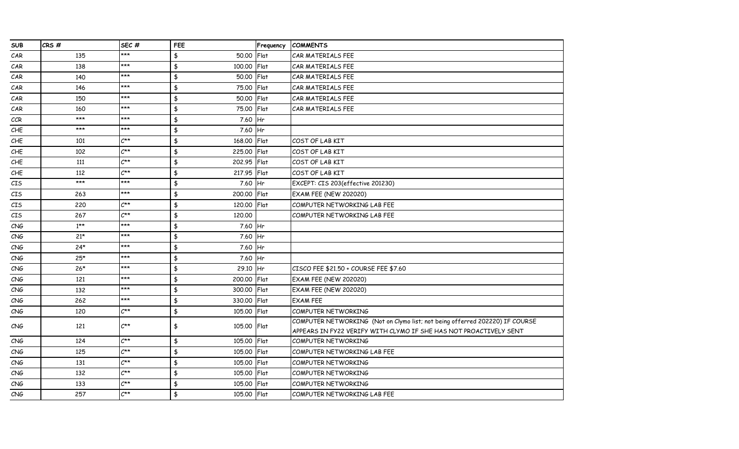| <b>SUB</b>                         | CRS#   | SEC#             | FEE                          | Frequency | <b>COMMENTS</b>                                                              |
|------------------------------------|--------|------------------|------------------------------|-----------|------------------------------------------------------------------------------|
| CAR                                | 135    | ***              | 50.00<br>\$                  | Flat      | CAR MATERIALS FEE                                                            |
| CAR                                | 138    | ***              | \$<br>100.00                 | Flat      | CAR MATERIALS FEE                                                            |
| CAR                                | 140    | $***$            | \$<br>50.00 Flat             |           | CAR MATERIALS FEE                                                            |
| CAR                                | 146    | $***$            | \$<br>75,00                  | Flat      | CAR MATERIALS FEE                                                            |
| CAR                                | 150    | ***              | $\pmb{\$}$<br>50.00          | Flat      | CAR MATERIALS FEE                                                            |
| CAR                                | 160    | ***              | $\frac{1}{2}$<br>75.00       | Flat      | CAR MATERIALS FEE                                                            |
| CCR                                | $***$  | ***              | $\frac{1}{2}$<br>7.60        | Hr        |                                                                              |
| CHE                                | $***$  | $***$            | $\frac{1}{2}$<br>7.60 Hr     |           |                                                                              |
| CHE                                | 101    | $C^{\star\star}$ | $\frac{1}{2}$<br>168.00      | Flat      | COST OF LAB KIT                                                              |
| CHE                                | 102    | $C^{\star\star}$ | \$<br>225,00                 | Flat      | COST OF LAB KIT                                                              |
| CHE                                | 111    | $C^{\star\star}$ | \$<br>202.95                 | Flat      | COST OF LAB KIT                                                              |
| CHE                                | 112    | $C^{\star\star}$ | $\frac{1}{2}$<br>217.95 Flat |           | COST OF LAB KIT                                                              |
| $\mathcal{C}\mathbb{I}\mathsf{S}$  | ***    | $***$            | $\frac{4}{3}$<br>7.60        | Hr        | EXCEPT: CIS 203(effective 201230)                                            |
| $\mathcal{C}\mathbb{I}\mathsf{S}$  | 263    | ***              | $\frac{1}{2}$<br>200.00      | Flat      | <b>EXAM FEE (NEW 202020)</b>                                                 |
| CIS                                | 220    | $C^{\star\star}$ | $\frac{1}{2}$<br>120.00      | Flat      | COMPUTER NETWORKING LAB FEE                                                  |
| CIS                                | 267    | $C^{\star\star}$ | $\frac{1}{2}$<br>120.00      |           | COMPUTER NETWORKING LAB FEE                                                  |
| CNG                                | $1***$ | ***              | $\frac{1}{2}$<br>7.60 Hr     |           |                                                                              |
| CNG                                | $21*$  | ***              | $\frac{4}{3}$<br>7.60 Hr     |           |                                                                              |
| CNG                                | $24*$  | ***              | \$<br>7.60 Hr                |           |                                                                              |
| CNG                                | $25*$  | ***              | \$<br>7.60 Hr                |           |                                                                              |
| CNG                                | $26*$  | ***              | \$<br>29.10 Hr               |           | CISCO FEE \$21.50 + COURSE FEE \$7.60                                        |
| CNG                                | 121    | ***              | $\frac{1}{2}$<br>200,00      | Flat      | <b>EXAM FEE (NEW 202020)</b>                                                 |
| $\mathcal{C}\mathsf{N}\mathcal{G}$ | 132    | ***              | \$<br>300.00                 | Flat      | <b>EXAM FEE (NEW 202020)</b>                                                 |
| CNG                                | 262    | ***              | \$<br>330.00                 | Flat      | <b>EXAM FEE</b>                                                              |
| CNG                                | 120    | $C^{\star\star}$ | \$<br>105.00                 | Flat      | COMPUTER NETWORKING                                                          |
| CNG                                | 121    | $C^{\star\star}$ | \$<br>105.00 Flat            |           | COMPUTER NETWORKING (Not on Clymo list; not being offerred 202220) IF COURSE |
|                                    |        |                  |                              |           | APPEARS IN FY22 VERIFY WITH CLYMO IF SHE HAS NOT PROACTIVELY SENT            |
| CNG                                | 124    | $C^{\star\star}$ | \$<br>105.00                 | Flat      | COMPUTER NETWORKING                                                          |
| CNG                                | 125    | $C^{\star\star}$ | $\frac{4}{3}$<br>105.00      | Flat      | COMPUTER NETWORKING LAB FEE                                                  |
| CNG                                | 131    | $C^{\star\star}$ | $\frac{1}{2}$<br>105.00      | Flat      | COMPUTER NETWORKING                                                          |
| CNG                                | 132    | $C^{\star\star}$ | $\frac{1}{2}$<br>105.00      | Flat      | COMPUTER NETWORKING                                                          |
| CNG                                | 133    | $C^{\star\star}$ | $\frac{1}{2}$<br>105.00      | Flat      | <b>COMPUTER NETWORKING</b>                                                   |
| CNG                                | 257    | $C^{\star\star}$ | $\frac{1}{2}$<br>105.00 Flat |           | COMPUTER NETWORKING LAB FEE                                                  |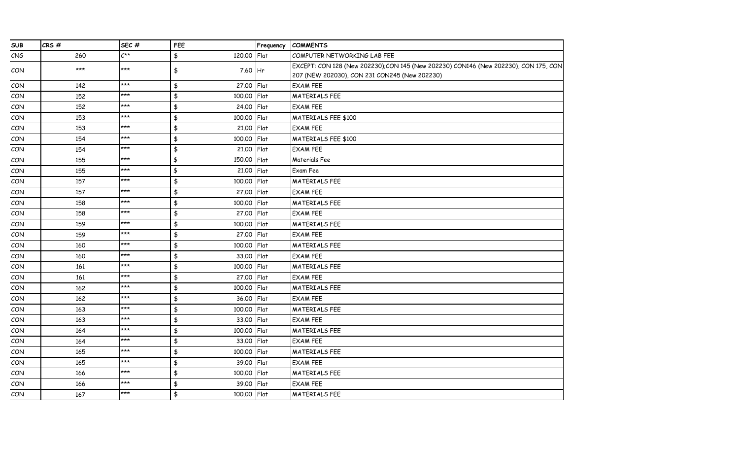| <b>SUB</b> | CRS# | SEC#                       | FEE                                  | Frequency | <b>COMMENTS</b>                                                                     |
|------------|------|----------------------------|--------------------------------------|-----------|-------------------------------------------------------------------------------------|
| CNG        | 260  | $\mathcal{C}^{\star\star}$ | \$<br>120.00                         | Flat      | COMPUTER NETWORKING LAB FEE                                                         |
| CON        | ***  | ***                        | \$<br>7.60 Hr                        |           | EXCEPT: CON 128 (New 202230);CON 145 (New 202230) CON146 (New 202230), CON 175, CON |
|            |      |                            |                                      |           | 207 (NEW 202030), CON 231 CON245 (New 202230)                                       |
| CON        | 142  | $***$                      | $\frac{4}{3}$<br>27.00               | Flat      | <b>EXAM FEE</b>                                                                     |
| CON        | 152  | ***                        | $\frac{1}{2}$<br>100.00              | Flat      | <b>MATERIALS FEE</b>                                                                |
| CON        | 152  | $***$                      | $\frac{1}{2}$<br>24.00               | Flat      | <b>EXAM FEE</b>                                                                     |
| CON        | 153  | $***$                      | $\pmb{\ddagger}$<br>100.00           | Flat      | <b>MATERIALS FEE \$100</b>                                                          |
| CON        | 153  | $***$                      | $\frac{4}{5}$<br>21.00               | Flat      | <b>EXAM FEE</b>                                                                     |
| CON        | 154  | $***$                      | $\frac{4}{5}$<br>100.00              | Flat      | <b>MATERIALS FEE \$100</b>                                                          |
| CON        | 154  | $***$                      | $\frac{4}{3}$<br>21.00               | Flat      | <b>EXAM FEE</b>                                                                     |
| CON        | 155  | $***$                      | $\frac{4}{5}$<br>150.00              | Flat      | Materials Fee                                                                       |
| CON        | 155  | $***$                      | $\frac{4}{3}$<br>21.00               | Flat      | Exam Fee                                                                            |
| CON        | 157  | $***$                      | $\frac{4}{5}$<br>100.00              | Flat      | MATERIALS FEE                                                                       |
| CON        | 157  | $***$                      | $\frac{4}{3}$<br>27.00               | Flat      | <b>EXAM FEE</b>                                                                     |
| CON        | 158  | $***$                      | $\frac{4}{3}$<br>100.00              | Flat      | <b>MATERIALS FEE</b>                                                                |
| CON        | 158  | $***$                      | $\frac{4}{3}$<br>27.00               | Flat      | <b>EXAM FEE</b>                                                                     |
| CON        | 159  | ***                        | $\frac{4}{3}$<br>100.00              | Flat      | <b>MATERIALS FEE</b>                                                                |
| CON        | 159  | $***$                      | $\frac{4}{5}$<br>27.00               | Flat      | <b>EXAM FEE</b>                                                                     |
| CON        | 160  | ***                        | $\frac{4}{5}$<br>100.00              | Flat      | <b>MATERIALS FEE</b>                                                                |
| CON        | 160  | $***$                      | $\frac{4}{3}$<br>33.00               | Flat      | <b>EXAM FEE</b>                                                                     |
| CON        | 161  | $***$                      | $\frac{4}{5}$<br>100.00              | Flat      | <b>MATERIALS FEE</b>                                                                |
| CON        | 161  | $***$                      | $\frac{4}{5}$<br>27.00               | Flat      | <b>EXAM FEE</b>                                                                     |
| CON        | 162  | $***$                      | $\frac{4}{5}$<br>100.00              | Flat      | <b>MATERIALS FEE</b>                                                                |
| CON        | 162  | ***                        | $\frac{4}{3}$<br>36.00               | Flat      | <b>EXAM FEE</b>                                                                     |
| CON        | 163  | $***$                      | $\frac{4}{5}$<br>100.00              | Flat      | <b>MATERIALS FEE</b>                                                                |
| CON        | 163  | $***$                      | $\pmb{\ddagger}$<br>33.00            | Flat      | <b>EXAM FEE</b>                                                                     |
| CON        | 164  | $***$                      | $\pmb{\ddagger}$<br>100.00           | Flat      | <b>MATERIALS FEE</b>                                                                |
| CON        | 164  | $***$                      | $\frac{4}{3}$<br>33.00               | Flat      | <b>EXAM FEE</b>                                                                     |
| <b>CON</b> | 165  | $***$                      | $\frac{4}{3}$<br>100.00              | Flat      | <b>MATERIALS FEE</b>                                                                |
| CON        | 165  | $***$                      | $\frac{4}{3}$<br>39.00               | Flat      | <b>EXAM FEE</b>                                                                     |
| CON        | 166  | $***$                      | $\pmb{\ddagger}$<br>100.00           | Flat      | <b>MATERIALS FEE</b>                                                                |
| CON        | 166  | $***$                      | $\pmb{\ddagger}$<br>39.00            | Flat      | <b>EXAM FEE</b>                                                                     |
| CON        | 167  | $***$                      | $\pmb{\mathfrak{\$}}$<br>100.00 Flat |           | <b>MATERIALS FEE</b>                                                                |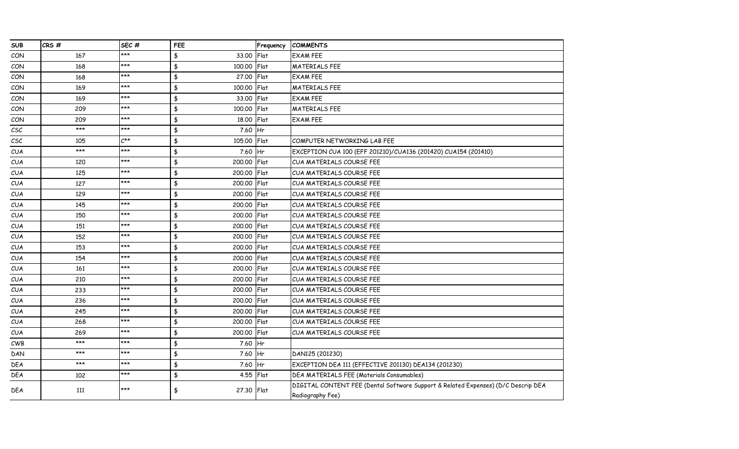| <b>SUB</b>                          | CRS#  | SEC#             | FEE                       | Frequency      | <b>COMMENTS</b>                                                                   |
|-------------------------------------|-------|------------------|---------------------------|----------------|-----------------------------------------------------------------------------------|
| CON                                 | 167   | ***              | 33.00<br>\$               | Flat           | <b>EXAM FEE</b>                                                                   |
| CON                                 | 168   | ***              | \$<br>100.00              | Flat           | <b>MATERIALS FEE</b>                                                              |
| CON                                 | 168   | $***$            | $\frac{4}{5}$<br>27.00    | Flat           | <b>EXAM FEE</b>                                                                   |
| CON                                 | 169   | $***$            | $\frac{4}{3}$<br>100.00   | Flat           | <b>MATERIALS FEE</b>                                                              |
| CON                                 | 169   | $***$            | $\pmb{\ddagger}$<br>33.00 | Flat           | <b>EXAM FEE</b>                                                                   |
| CON                                 | 209   | ***              | $\frac{4}{5}$<br>100,00   | Flat           | <b>MATERIALS FEE</b>                                                              |
| CON                                 | 209   | $***$            | $\frac{4}{5}$<br>18.00    | Flat           | <b>EXAM FEE</b>                                                                   |
| $\mathcal{C}\mathcal{S}\mathcal{C}$ | $***$ | $***$            | $\frac{4}{5}$<br>7.60     | H <sub>r</sub> |                                                                                   |
| $\mathcal{L}\mathsf{S}\mathcal{L}$  | 105   | $C^{\star\star}$ | $\frac{4}{3}$<br>105.00   | Flat           | COMPUTER NETWORKING LAB FEE                                                       |
| CUA                                 | $***$ | ***              | $\pmb{\ddagger}$<br>7.60  | Hr             | EXCEPTION CUA 100 (EFF 201210)/CUA136 (201420) CUA154 (201410)                    |
| CUA                                 | 120   | $***$            | $\frac{4}{3}$<br>200.00   | Flat           | CUA MATERIALS COURSE FEE                                                          |
| CUA                                 | 125   | $***$            | $\frac{4}{5}$<br>200.00   | Flat           | CUA MATERIALS COURSE FEE                                                          |
| CUA                                 | 127   | $***$            | $\frac{4}{3}$<br>200.00   | Flat           | <b>CUA MATERIALS COURSE FEE</b>                                                   |
| CUA                                 | 129   | $***$            | $\frac{4}{3}$<br>200.00   | Flat           | CUA MATERIALS COURSE FEE                                                          |
| <b>CUA</b>                          | 145   | ***              | $\frac{4}{3}$<br>200.00   | <b>IFlat</b>   | <b>CUA MATERIALS COURSE FEE</b>                                                   |
| CUA                                 | 150   | ***              | $\frac{4}{5}$<br>200.00   | Flat           | <b>CUA MATERIALS COURSE FEE</b>                                                   |
| <b>CUA</b>                          | 151   | $***$            | $\frac{4}{5}$<br>200.00   | Flat           | CUA MATERIALS COURSE FEE                                                          |
| CUA                                 | 152   | $***$            | $\frac{4}{3}$<br>200.00   | <b>Flat</b>    | CUA MATERIALS COURSE FEE                                                          |
| <b>CUA</b>                          | 153   | $***$            | $\frac{4}{3}$<br>200.00   | Flat           | CUA MATERIALS COURSE FEE                                                          |
| <b>CUA</b>                          | 154   | ***              | $\frac{4}{3}$<br>200.00   | <b>IFlat</b>   | <b>CUA MATERIALS COURSE FEE</b>                                                   |
| CUA                                 | 161   | ***              | \$<br>200.00              | Flat           | <b>CUA MATERIALS COURSE FEE</b>                                                   |
| <b>CUA</b>                          | 210   | $***$            | $\frac{4}{3}$<br>200.00   | Flat           | CUA MATERIALS COURSE FEE                                                          |
| CUA                                 | 233   | $***$            | $\frac{4}{3}$<br>200.00   | Flat           | CUA MATERIALS COURSE FEE                                                          |
| CUA                                 | 236   | $***$            | $\frac{4}{3}$<br>200.00   | Flat           | CUA MATERIALS COURSE FEE                                                          |
| CUA                                 | 245   | $***$            | $\frac{4}{5}$<br>200.00   | <b>IFlat</b>   | CUA MATERIALS COURSE FEE                                                          |
| <b>CUA</b>                          | 268   | ***              | \$<br>200.00              | Flat           | CUA MATERIALS COURSE FEE                                                          |
| <b>CUA</b>                          | 269   | $***$            | $\frac{4}{5}$<br>200.00   | Flat           | CUA MATERIALS COURSE FEE                                                          |
| $\mathcal{C} \mathsf{W}\mathsf{B}$  | ***   | $***$            | $\frac{4}{3}$<br>7.60     | Hr             |                                                                                   |
| DAN                                 | $***$ | $***$            | $\frac{4}{5}$<br>7.60 Hr  |                | DAN125 (201230)                                                                   |
| DEA                                 | $***$ | $***$            | $\frac{4}{5}$<br>7.60 Hr  |                | EXCEPTION DEA 111 (EFFECTIVE 201130) DEA134 (201230)                              |
| DEA                                 | 102   | $***$            | \$<br>4.55 Flat           |                | DEA MATERIALS FEE (Materials Consumables)                                         |
| <b>DEA</b>                          | 111   | $***$            | \$<br>27.30 Flat          |                | DIGITAL CONTENT FEE (Dental Software Support & Related Expenses) (D/C Descrip DEA |
|                                     |       |                  |                           |                | Radiography Fee)                                                                  |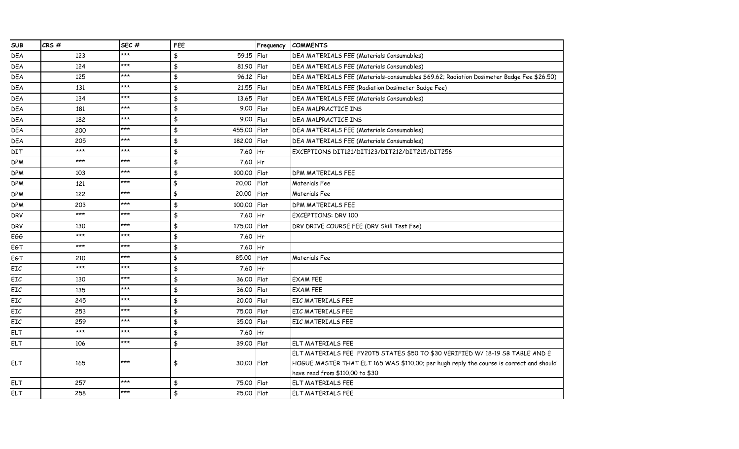| <b>SUB</b> | CRS#  | SEC#  | FEE                          | Frequency    | <b>COMMENTS</b>                                                                          |
|------------|-------|-------|------------------------------|--------------|------------------------------------------------------------------------------------------|
| <b>DEA</b> | 123   | ***   | $\frac{4}{3}$<br>59.15 Flat  |              | DEA MATERIALS FEE (Materials Consumables)                                                |
| DEA        | 124   | ***   | $\frac{4}{5}$<br>81.90 Flat  |              | DEA MATERIALS FEE (Materials Consumables)                                                |
| <b>DEA</b> | 125   | ***   | $\frac{4}{3}$<br>96.12 Flat  |              | DEA MATERIALS FEE (Materials-consumables \$69.62; Radiation Dosimeter Badge Fee \$26.50) |
| DEA        | 131   | $***$ | $\frac{4}{3}$<br>21.55 Flat  |              | DEA MATERIALS FEE (Radiation Dosimeter Badge Fee)                                        |
| DEA        | 134   | ***   | $\frac{1}{2}$<br>13.65 Flat  |              | DEA MATERIALS FEE (Materials Consumables)                                                |
| DEA        | 181   | ***   | $\frac{4}{5}$<br>9.00 Flat   |              | DEA MALPRACTICE INS                                                                      |
| <b>DEA</b> | 182   | ***   | $\frac{4}{5}$<br>9.00 Flat   |              | DEA MALPRACTICE INS                                                                      |
| <b>DEA</b> | 200   | $***$ | $\frac{4}{3}$<br>455.00 Flat |              | DEA MATERIALS FEE (Materials Consumables)                                                |
| DEA        | 205   | $***$ | $\frac{4}{5}$<br>182.00 Flat |              | DEA MATERIALS FEE (Materials Consumables)                                                |
| DIT        | $***$ | ***   | $\frac{4}{3}$<br>7.60 Hr     |              | EXCEPTIONS DIT121/DIT123/DIT212/DIT215/DIT256                                            |
| <b>DPM</b> | ***   | ***   | $\frac{4}{5}$<br>7.60 Hr     |              |                                                                                          |
| <b>DPM</b> | 103   | ***   | $\frac{4}{5}$<br>100.00 Flat |              | DPM MATERIALS FEE                                                                        |
| <b>DPM</b> | 121   | $***$ | $\frac{4}{5}$<br>20.00       | Flat         | Materials Fee                                                                            |
| <b>DPM</b> | 122   | ***   | $\frac{1}{2}$<br>20,00       | Flat         | Materials Fee                                                                            |
| <b>DPM</b> | 203   | ***   | $\frac{4}{5}$<br>100.00      | <b>IFlat</b> | DPM MATERIALS FEE                                                                        |
| <b>DRV</b> | $***$ | ***   | $\frac{4}{5}$<br>7.60 Hr     |              | <b>EXCEPTIONS: DRV 100</b>                                                               |
| <b>DRV</b> | 130   | $***$ | $\frac{4}{5}$<br>175.00 Flat |              | DRV DRIVE COURSE FEE (DRV Skill Test Fee)                                                |
| EGG        | $***$ | $***$ | $\frac{4}{5}$<br>7.60 Hr     |              |                                                                                          |
| EGT        | ***   | ***   | $\frac{4}{3}$<br>7.60 Hr     |              |                                                                                          |
| EGT        | 210   | ***   | \$<br>85.00                  | Flat         | Materials Fee                                                                            |
| EIC        | $***$ | ***   | $\frac{4}{5}$<br>7.60 Hr     |              |                                                                                          |
| EIC        | 130   | $***$ | $\frac{4}{3}$<br>36.00 Flat  |              | <b>EXAM FEE</b>                                                                          |
| EIC        | 135   | ***   | $\frac{4}{3}$<br>36.00 Flat  |              | <b>EXAM FEE</b>                                                                          |
| EIC        | 245   | ***   | $\frac{4}{5}$<br>20.00 Flat  |              | <b>EIC MATERIALS FEE</b>                                                                 |
| EIC        | 253   | ***   | $\frac{4}{5}$<br>75.00 Flat  |              | <b>EIC MATERIALS FEE</b>                                                                 |
| EIC        | 259   | $***$ | $\frac{4}{3}$<br>35.00 Flat  |              | <b>EIC MATERIALS FEE</b>                                                                 |
| <b>ELT</b> | $***$ | ***   | $\frac{4}{3}$<br>7.60 Hr     |              |                                                                                          |
| <b>ELT</b> | 106   | ***   | $\frac{4}{3}$<br>39.00 Flat  |              | <b>ELT MATERIALS FEE</b>                                                                 |
|            |       |       |                              |              | ELT MATERIALS FEE FY20T5 STATES \$50 TO \$30 VERIFIED W/ 18-19 SB TABLE AND E            |
| <b>ELT</b> | 165   | ***   | \$<br>30.00 Flat             |              | HOGUE MASTER THAT ELT 165 WAS \$110.00; per hugh reply the course is correct and should  |
|            |       |       |                              |              | have read from \$110.00 to \$30                                                          |
| <b>ELT</b> | 257   | ***   | $\frac{4}{3}$<br>75.00 Flat  |              | <b>ELT MATERIALS FEE</b>                                                                 |
| <b>ELT</b> | 258   | ***   | $\frac{4}{5}$<br>25.00 Flat  |              | <b>ELT MATERIALS FEE</b>                                                                 |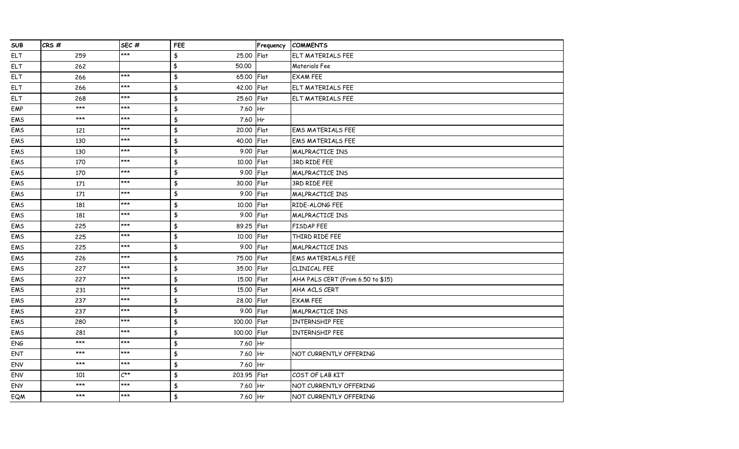| <b>SUB</b> | CRS#  | SEC#             | <b>FEE</b>                           | Frequency | <b>COMMENTS</b>                   |
|------------|-------|------------------|--------------------------------------|-----------|-----------------------------------|
| <b>ELT</b> | 259   | $***$            | \$<br>25.00                          | Flat      | ELT MATERIALS FEE                 |
| <b>ELT</b> | 262   |                  | \$<br>50,00                          |           | Materials Fee                     |
| <b>ELT</b> | 266   | $***$            | $\frac{4}{3}$<br>65.00 Flat          |           | <b>EXAM FEE</b>                   |
| <b>ELT</b> | 266   | ***              | $\frac{4}{3}$<br>42.00 Flat          |           | ELT MATERIALS FEE                 |
| <b>ELT</b> | 268   | $***$            | $\pmb{\ddagger}$<br>25.60            | Flat      | <b>ELT MATERIALS FEE</b>          |
| EMP        | $***$ | $***$            | $\pmb{\ddagger}$<br>7.60             | Hr        |                                   |
| EMS        | $***$ | ***              | $\frac{4}{5}$<br>7.60 Hr             |           |                                   |
| EMS        | 121   | $***$            | $\frac{1}{2}$<br>20.00 Flat          |           | <b>EMS MATERIALS FEE</b>          |
| EMS        | 130   | $***$            | $\frac{4}{3}$<br>40.00 Flat          |           | <b>EMS MATERIALS FEE</b>          |
| EMS        | 130   | $***$            | $\pmb{\mathfrak{\$}}$<br>9.00        | Flat      | MALPRACTICE INS                   |
| EMS        | 170   | $***$            | $\frac{1}{2}$<br>10.00               | Flat      | 3RD RIDE FEE                      |
| EMS        | 170   | ***              | \$<br>9.00                           | Flat      | MALPRACTICE INS                   |
| EMS        | 171   | ***              | $\frac{4}{3}$<br>30.00               | Flat      | 3RD RIDE FEE                      |
| EMS        | 171   | $***$            | \$<br>9.00                           | Flat      | MALPRACTICE INS                   |
| EMS        | 181   | ***              | $\frac{1}{2}$<br>10.00               | Flat      | RIDE-ALONG FEE                    |
| EMS        | 181   | $***$            | $\pmb{\ddagger}$<br>9.00             | Flat      | MALPRACTICE INS                   |
| EMS        | 225   | ***              | \$<br>89.25                          | Flat      | FISDAP FEE                        |
| EMS        | 225   | ***              | $\frac{1}{2}$<br>10.00               | Flat      | THIRD RIDE FEE                    |
| EMS        | 225   | $***$            | $\frac{4}{5}$<br>9.00 Flat           |           | MALPRACTICE INS                   |
| EMS        | 226   | $***$            | $\frac{1}{2}$<br>75.00 Flat          |           | <b>EMS MATERIALS FEE</b>          |
| EMS        | 227   | $***$            | $\frac{1}{2}$<br>35.00               | Flat      | CLINICAL FEE                      |
| EMS        | 227   | ***              | \$<br>15.00                          | Flat      | AHA PALS CERT (From 6.50 to \$15) |
| EMS        | 231   | $***$            | $\frac{4}{5}$<br>15.00               | Flat      | AHA ACLS CERT                     |
| EMS        | 237   | $***$            | \$<br>28.00                          | Flat      | <b>EXAM FEE</b>                   |
| EMS        | 237   | $***$            | $\frac{4}{3}$<br>9.00                | Flat      | MALPRACTICE INS                   |
| EMS        | 280   | ***              | $\pmb{\ddagger}$<br>100,00           | Flat      | <b>INTERNSHIP FEE</b>             |
| EMS        | 281   | ***              | $\pmb{\ddagger}$<br>100.00           | Flat      | <b>INTERNSHIP FEE</b>             |
| ENG        | $***$ | ***              | $\frac{1}{2}$<br>7.60                | Hr        |                                   |
| ENT        | $***$ | $***$            | $\frac{4}{3}$<br>7.60 Hr             |           | NOT CURRENTLY OFFERING            |
| ENV        | $***$ | $***$            | $\frac{1}{2}$<br>7.60 Hr             |           |                                   |
| ENV        | 101   | $C^{\star\star}$ | $\pmb{\mathfrak{\$}}$<br>203.95 Flat |           | COST OF LAB KIT                   |
| <b>ENY</b> | ***   | ***              | \$<br>7.60                           | Hr        | NOT CURRENTLY OFFERING            |
| <b>EQM</b> | ***   | $***$            | $\frac{1}{2}$<br>7.60 Hr             |           | NOT CURRENTLY OFFERING            |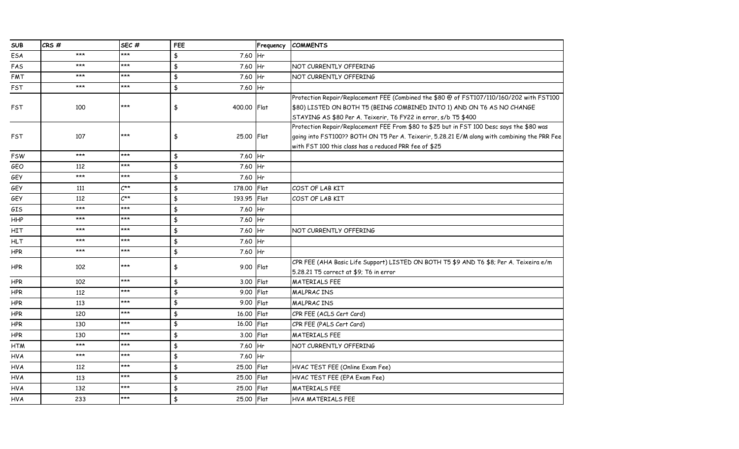| <b>SUB</b> | CRS#  | SEC#             | FEE                          | Frequency | <b>COMMENTS</b>                                                                              |
|------------|-------|------------------|------------------------------|-----------|----------------------------------------------------------------------------------------------|
| ESA        | ***   | ***              | 7.60 Hr<br>\$                |           |                                                                                              |
| FAS        | $***$ | ***              | \$<br>7.60 Hr                |           | NOT CURRENTLY OFFERING                                                                       |
| FMT        | $***$ | $***$            | $\frac{4}{5}$<br>7.60 Hr     |           | NOT CURRENTLY OFFERING                                                                       |
| <b>FST</b> | ***   | $***$            | \$<br>7.60 Hr                |           |                                                                                              |
|            |       |                  |                              |           | Protection Repair/Replacement FEE (Combined the \$80 @ of FST107/110/160/202 with FST100     |
| FST        | 100   | $***$            | \$<br>400.00   Flat          |           | \$80) LISTED ON BOTH T5 (BEING COMBINED INTO 1) AND ON T6 AS NO CHANGE                       |
|            |       |                  |                              |           | STAYING AS \$80 Per A. Teixerir, T6 FY22 in error, s/b T5 \$400                              |
|            |       |                  |                              |           | Protection Repair/Replacement FEE From \$80 to \$25 but in FST 100 Desc says the \$80 was    |
| <b>FST</b> | 107   | ***              | 25,00 Flat<br>\$             |           | going into FST100?? BOTH ON T5 Per A. Teixerir, 5.28.21 E/M along with combining the PRR Fee |
|            |       |                  |                              |           | with FST 100 this class has a reduced PRR fee of \$25                                        |
| <b>FSW</b> | ***   | $***$            | \$<br>7.60 Hr                |           |                                                                                              |
| GEO        | 112   | $***$            | $\frac{1}{2}$<br>7.60 Hr     |           |                                                                                              |
| GEY        | $***$ | ***              | \$<br>7.60 Hr                |           |                                                                                              |
| GEY        | 111   | $C^{\star\star}$ | $\frac{4}{5}$<br>178.00 Flat |           | COST OF LAB KIT                                                                              |
| GEY        | 112   | $C^{\star\star}$ | \$<br>193.95 Flat            |           | COST OF LAB KIT                                                                              |
| GIS        | $***$ | $***$            | $\frac{4}{5}$<br>7.60 Hr     |           |                                                                                              |
| HHP        | $***$ | $***$            | \$<br>7.60 Hr                |           |                                                                                              |
| HIT        | $***$ | ***              | $\frac{4}{5}$<br>7.60 Hr     |           | NOT CURRENTLY OFFERING                                                                       |
| <b>HLT</b> | $***$ | $***$            | \$<br>7.60 Hr                |           |                                                                                              |
| HPR        | ***   | $***$            | $\frac{1}{2}$<br>7.60 Hr     |           |                                                                                              |
|            | 102   | $***$            |                              |           | CPR FEE (AHA Basic Life Support) LISTED ON BOTH T5 \$9 AND T6 \$8; Per A. Teixeira e/m       |
| <b>HPR</b> |       |                  | \$<br>9.00   Flat            |           | 5.28.21 T5 correct at \$9; T6 in error                                                       |
| <b>HPR</b> | 102   | $***$            | $\frac{4}{3}$<br>3.00 Flat   |           | <b>MATERIALS FEE</b>                                                                         |
| <b>HPR</b> | 112   | $***$            | $\frac{4}{3}$<br>9.00 Flat   |           | <b>MALPRACINS</b>                                                                            |
| <b>HPR</b> | 113   | $***$            | $\frac{4}{5}$<br>9.00 Flat   |           | <b>MALPRACINS</b>                                                                            |
| <b>HPR</b> | 120   | ***              | $\frac{4}{3}$<br>16.00       | Flat      | CPR FEE (ACLS Cert Card)                                                                     |
| HPR        | 130   | $***$            | $\frac{4}{5}$<br>16.00       | Flat      | CPR FEE (PALS Cert Card)                                                                     |
| <b>HPR</b> | 130   | ***              | \$<br>3.00 Flat              |           | <b>MATERIALS FEE</b>                                                                         |
| <b>HTM</b> | $***$ | $***$            | $\frac{4}{5}$<br>7.60 Hr     |           | NOT CURRENTLY OFFERING                                                                       |
| <b>HVA</b> | $***$ | $***$            | \$<br>7.60 Hr                |           |                                                                                              |
| <b>HVA</b> | 112   | ***              | \$<br>25.00 Flat             |           | HVAC TEST FEE (Online Exam Fee)                                                              |
| <b>HVA</b> | 113   | $***$            | \$<br>25,00                  | Flat      | HVAC TEST FEE (EPA Exam Fee)                                                                 |
| <b>HVA</b> | 132   | $***$            | \$<br>25.00 Flat             |           | <b>MATERIALS FEE</b>                                                                         |
| <b>HVA</b> | 233   | ***              | \$<br>25.00 Flat             |           | HVA MATERIALS FEE                                                                            |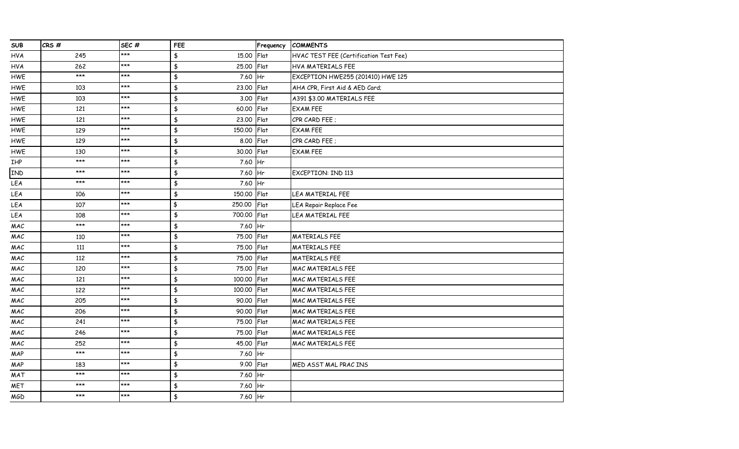| <b>SUB</b>     | CRS#  | SEC#  | FEE               | Frequency | <b>COMMENTS</b>                        |
|----------------|-------|-------|-------------------|-----------|----------------------------------------|
| <b>HVA</b>     | 245   | ***   | \$<br>15.00 Flat  |           | HVAC TEST FEE (Certification Test Fee) |
| <b>HVA</b>     | 262   | $***$ | \$<br>25.00       | Flat      | HVA MATERIALS FEE                      |
| HWE            | $***$ | $***$ | \$<br>7.60 Hr     |           | EXCEPTION HWE255 (201410) HWE 125      |
| HWE            | 103   | $***$ | \$<br>23.00 Flat  |           | AHA CPR, First Aid & AED Card;         |
| HWE            | 103   | $***$ | \$<br>3.00        | Flat      | A391 \$3.00 MATERIALS FEE              |
| HWE            | 121   | $***$ | \$<br>60.00       | Flat      | <b>EXAM FEE</b>                        |
| HWE            | 121   | $***$ | \$<br>23.00       | Flat      | CPR CARD FEE ;                         |
| HWE            | 129   | $***$ | \$<br>150.00 Flat |           | <b>EXAM FEE</b>                        |
| HWE            | 129   | $***$ | \$<br>8.00 Flat   |           | CPR CARD FEE ;                         |
| HWE            | 130   | $***$ | \$<br>30.00 Flat  |           | <b>EXAM FEE</b>                        |
| IHP            | $***$ | $***$ | \$<br>7.60 Hr     |           |                                        |
| IND            | $***$ | $***$ | \$<br>7.60        | Hr        | <b>EXCEPTION: IND 113</b>              |
| LEA            | $***$ | $***$ | \$<br>7.60 Hr     |           |                                        |
| LEA            | 106   | $***$ | \$<br>150.00 Flat |           | LEA MATERIAL FEE                       |
| LEA            | 107   | $***$ | \$<br>250.00      | Flat      | LEA Repair Replace Fee                 |
| LEA            | 108   | $***$ | \$<br>700.00 Flat |           | LEA MATERIAL FEE                       |
| MAC            | $***$ | $***$ | \$<br>7.60 Hr     |           |                                        |
| MAC            | 110   | $***$ | \$<br>75.00 Flat  |           | <b>MATERIALS FEE</b>                   |
| MAC            | 111   | $***$ | \$<br>75.00 Flat  |           | <b>MATERIALS FEE</b>                   |
| MAC            | 112   | $***$ | \$<br>75.00 Flat  |           | <b>MATERIALS FEE</b>                   |
| MAC            | 120   | $***$ | \$<br>75.00 Flat  |           | <b>MAC MATERIALS FEE</b>               |
| MAC            | 121   | $***$ | \$<br>100.00      | Flat      | <b>MAC MATERIALS FEE</b>               |
| MAC            | 122   | $***$ | \$<br>100.00 Flat |           | MAC MATERIALS FEE                      |
| MAC            | 205   | $***$ | \$<br>90.00 Flat  |           | <b>MAC MATERIALS FEE</b>               |
| MAC            | 206   | $***$ | \$<br>90.00 Flat  |           | <b>MAC MATERIALS FEE</b>               |
| $\mathsf{MAC}$ | 241   | $***$ | \$<br>75.00 Flat  |           | MAC MATERIALS FEE                      |
| MAC            | 246   | $***$ | \$<br>75.00 Flat  |           | MAC MATERIALS FEE                      |
| MAC            | 252   | $***$ | \$<br>45.00 Flat  |           | <b>MAC MATERIALS FEE</b>               |
| MAP            | $***$ | $***$ | \$<br>7.60 Hr     |           |                                        |
| MAP            | 183   | $***$ | \$<br>9.00        | Flat      | MED ASST MAL PRACINS                   |
| MAT            | $***$ | ***   | \$<br>7.60        | Hr        |                                        |
| <b>MET</b>     | ***   | $***$ | \$<br>7.60        | Hr        |                                        |
| MGD            | $***$ | $***$ | \$<br>7.60 Hr     |           |                                        |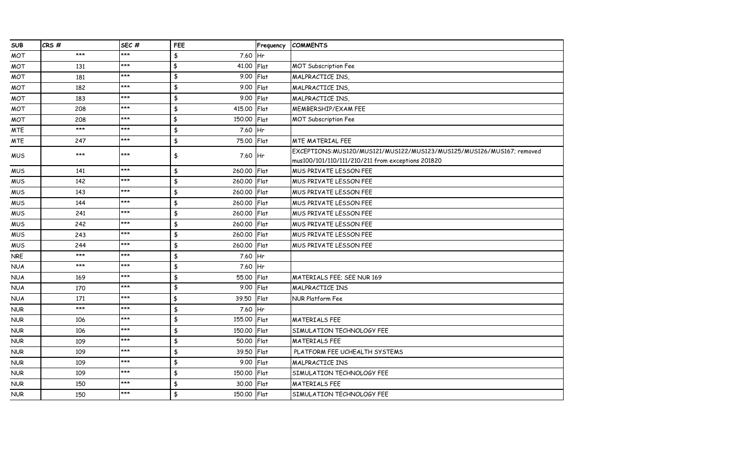| <b>SUB</b> | CRS#  | SEC#  | FEE                     | Frequency | <b>COMMENTS</b>                                                      |
|------------|-------|-------|-------------------------|-----------|----------------------------------------------------------------------|
| <b>MOT</b> | $***$ | ***   | \$<br>7.60              | <b>Hr</b> |                                                                      |
| <b>MOT</b> | 131   | $***$ | \$<br>41.00             | Flat      | <b>MOT Subscription Fee</b>                                          |
| <b>MOT</b> | 181   | ***   | $\frac{1}{2}$<br>9.00   | Flat      | MALPRACTICE INS,                                                     |
| <b>MOT</b> | 182   | $***$ | $\frac{1}{2}$<br>9.00   | Flat      | MALPRACTICE INS,                                                     |
| <b>MOT</b> | 183   | $***$ | \$<br>9.00              | Flat      | MALPRACTICE INS,                                                     |
| <b>MOT</b> | 208   | $***$ | $\frac{1}{2}$<br>415.00 | Flat      | MEMBERSHIP/EXAM FEE                                                  |
| <b>MOT</b> | 208   | ***   | \$<br>150.00            | Flat      | <b>MOT Subscription Fee</b>                                          |
| <b>MTE</b> | $***$ | $***$ | $\frac{1}{2}$<br>7.60   | Hr        |                                                                      |
| <b>MTE</b> | 247   | $***$ | $\frac{1}{2}$<br>75.00  | Flat      | <b>MTE MATERIAL FEE</b>                                              |
| <b>MUS</b> | $***$ | $***$ | \$<br>7.60 Hr           |           | EXCEPTIONS:MUS120/MUS121/MUS122/MUS123/MUS125/MUS126/MUS167; removed |
|            |       |       |                         |           | mus100/101/110/111/210/211 from exceptions 201820                    |
| <b>MUS</b> | 141   | ***   | $\pmb{\$}$<br>260.00    | Flat      | MUS PRIVATE LESSON FEE                                               |
| <b>MUS</b> | 142   | $***$ | $\frac{1}{2}$<br>260.00 | Flat      | MUS PRIVATE LESSON FEE                                               |
| <b>MUS</b> | 143   | ***   | \$<br>260.00            | Flat      | MUS PRIVATE LESSON FEE                                               |
| <b>MUS</b> | 144   | $***$ | $\frac{1}{2}$<br>260.00 | Flat      | MUS PRIVATE LESSON FEE                                               |
| <b>MUS</b> | 241   | $***$ | $\frac{1}{2}$<br>260.00 | Flat      | MUS PRIVATE LESSON FEE                                               |
| <b>MUS</b> | 242   | $***$ | $\frac{1}{2}$<br>260.00 | Flat      | MUS PRIVATE LESSON FEE                                               |
| <b>MUS</b> | 243   | $***$ | \$<br>260,00            | Flat      | MUS PRIVATE LESSON FEE                                               |
| <b>MUS</b> | 244   | ***   | $\frac{1}{2}$<br>260.00 | Flat      | MUS PRIVATE LESSON FEE                                               |
| <b>NRE</b> | $***$ | ***   | \$<br>7.60              | Hr        |                                                                      |
| <b>NUA</b> | $***$ | $***$ | \$<br>7.60              | <b>Hr</b> |                                                                      |
| <b>NUA</b> | 169   | $***$ | $\frac{1}{2}$<br>55.00  | Flat      | MATERIALS FEE; SEE NUR 169                                           |
| <b>NUA</b> | 170   | $***$ | $\frac{1}{2}$<br>9.00   | Flat      | MALPRACTICE INS                                                      |
| <b>NUA</b> | 171   | ***   | \$<br>39.50             | Flat      | NUR Platform Fee                                                     |
| <b>NUR</b> | $***$ | $***$ | \$<br>7.60              | Hr        |                                                                      |
| <b>NUR</b> | 106   | ***   | $\pmb{\$}$<br>155.00    | Flat      | <b>MATERIALS FEE</b>                                                 |
| <b>NUR</b> | 106   | ***   | \$<br>150,00            | Flat      | SIMULATION TECHNOLOGY FEE                                            |
| <b>NUR</b> | 109   | $***$ | $\frac{1}{2}$<br>50.00  | Flat      | <b>MATERIALS FEE</b>                                                 |
| <b>NUR</b> | 109   | $***$ | \$<br>39.50             | Flat      | PLATFORM FEE UCHEALTH SYSTEMS                                        |
| <b>NUR</b> | 109   | ***   | \$<br>9.00              | Flat      | <b>MALPRACTICE INS</b>                                               |
| <b>NUR</b> | 109   | $***$ | \$<br>150,00            | Flat      | SIMULATION TECHNOLOGY FEE                                            |
| <b>NUR</b> | 150   | $***$ | \$<br>30.00             | Flat      | <b>MATERIALS FEE</b>                                                 |
| <b>NUR</b> | 150   | $***$ | \$<br>150.00 Flat       |           | SIMULATION TECHNOLOGY FEE                                            |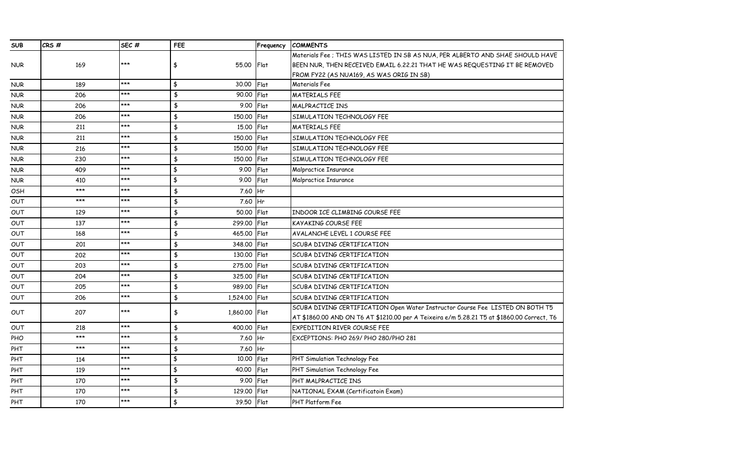| <b>SUB</b> | CRS#  | SEC <sub>#</sub> | <b>FEE</b>                | Frequency   | <b>COMMENTS</b>                                                                            |
|------------|-------|------------------|---------------------------|-------------|--------------------------------------------------------------------------------------------|
|            |       |                  |                           |             | Materials Fee ; THIS WAS LISTED IN SB AS NUA, PER ALBERTO AND SHAE SHOULD HAVE             |
| <b>NUR</b> | 169   | $***$            | 55.00<br>\$               | <b>Flat</b> | BEEN NUR, THEN RECEIVED EMAIL 6.22.21 THAT HE WAS REQUESTING IT BE REMOVED                 |
|            |       |                  |                           |             | FROM FY22 (AS NUA169, AS WAS ORIG IN SB)                                                   |
| <b>NUR</b> | 189   | ***              | $\frac{1}{2}$<br>30.00    | Flat        | Materials Fee                                                                              |
| <b>NUR</b> | 206   | ***              | $\frac{1}{2}$<br>90.00    | Flat        | <b>MATERIALS FEE</b>                                                                       |
| <b>NUR</b> | 206   | $***$            | \$<br>9.00                | Flat        | MALPRACTICE INS                                                                            |
| <b>NUR</b> | 206   | $***$            | $\frac{1}{2}$<br>150,00   | Flat        | SIMULATION TECHNOLOGY FEE                                                                  |
| <b>NUR</b> | 211   | $***$            | \$<br>15.00               | Flat        | <b>MATERIALS FEE</b>                                                                       |
| <b>NUR</b> | 211   | $***$            | \$<br>150,00              | Flat        | SIMULATION TECHNOLOGY FEE                                                                  |
| <b>NUR</b> | 216   | $***$            | $\frac{4}{5}$<br>150,00   | Flat        | SIMULATION TECHNOLOGY FEE                                                                  |
| <b>NUR</b> | 230   | $***$            | $\frac{4}{5}$<br>150,00   | Flat        | SIMULATION TECHNOLOGY FEE                                                                  |
| <b>NUR</b> | 409   | $***$            | $\frac{4}{3}$<br>9.00     | Flat        | Malpractice Insurance                                                                      |
| <b>NUR</b> | 410   | $***$            | $\frac{4}{3}$<br>9.00     | Flat        | Malpractice Insurance                                                                      |
| OSH        | $***$ | ***              | \$<br>7.60                | <b>Hr</b>   |                                                                                            |
| Ουτ        | $***$ | $***$            | $\frac{1}{2}$<br>7.60     | Hr          |                                                                                            |
| OUT        | 129   | $***$            | $\frac{1}{2}$<br>50,00    | Flat        | INDOOR ICE CLIMBING COURSE FEE                                                             |
| OUT        | 137   | ***              | $\frac{4}{3}$<br>299.00   | Flat        | KAYAKING COURSE FEE                                                                        |
| OUT        | 168   | $***$            | \$<br>465.00              | Flat        | AVALANCHE LEVEL 1 COURSE FEE                                                               |
| <b>OUT</b> | 201   | $***$            | \$<br>348.00              | Flat        | SCUBA DIVING CERTIFICATION                                                                 |
| <b>OUT</b> | 202   | ***              | \$<br>130.00              | Flat        | SCUBA DIVING CERTIFICATION                                                                 |
| OUT        | 203   | $***$            | \$<br>275,00              | Flat        | SCUBA DIVING CERTIFICATION                                                                 |
| OUT        | 204   | $***$            | $\frac{4}{5}$<br>325.00   | Flat        | SCUBA DIVING CERTIFICATION                                                                 |
| <b>OUT</b> | 205   | ***              | $\frac{1}{2}$<br>989.00   | Flat        | SCUBA DIVING CERTIFICATION                                                                 |
| OUT        | 206   | $***$            | $\frac{4}{5}$<br>1,524.00 | Flat        | SCUBA DIVING CERTIFICATION                                                                 |
|            | 207   | $***$            |                           |             | SCUBA DIVING CERTIFICATION Open Water Instructor Course Fee LISTED ON BOTH T5              |
| OUT        |       |                  | \$<br>1,860.00            | Flat        | AT \$1860.00 AND ON T6 AT \$1210.00 per A Teixeira e/m 5.28.21 T5 at \$1860.00 Correct, T6 |
| OUT        | 218   | $***$            | $\frac{4}{5}$<br>400.00   | Flat        | EXPEDITION RIVER COURSE FEE                                                                |
| <b>PHO</b> | $***$ | ***              | $\frac{4}{3}$<br>7.60     | Hr          | EXCEPTIONS: PHO 269/ PHO 280/PHO 281                                                       |
| PHT        | $***$ | $***$            | $\frac{4}{3}$<br>7.60 Hr  |             |                                                                                            |
| PHT        | 114   | $***$            | $\frac{4}{3}$<br>10.00    | Flat        | PHT Simulation Technology Fee                                                              |
| PHT        | 119   | $***$            | $\frac{1}{2}$<br>40,00    | Flat        | PHT Simulation Technology Fee                                                              |
| PHT        | 170   | $***$            | $\frac{4}{3}$<br>9.00     | Flat        | PHT MALPRACTICE INS                                                                        |
| PHT        | 170   | $***$            | \$<br>129,00              | Flat        | NATIONAL EXAM (Certificatoin Exam)                                                         |
| PHT        | 170   | ***              | $\frac{4}{3}$<br>39.50    | Flat        | PHT Platform Fee                                                                           |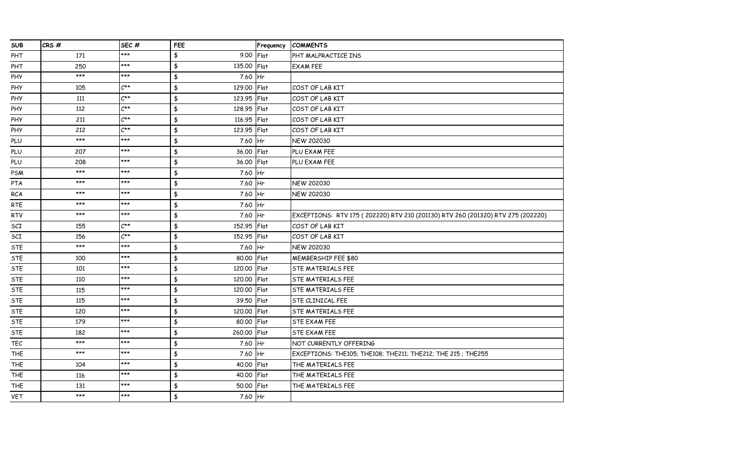| <b>SUB</b> | CRS#  | SEC#             | <b>FEE</b>                     | Frequency | <b>COMMENTS</b>                                                                 |
|------------|-------|------------------|--------------------------------|-----------|---------------------------------------------------------------------------------|
| PHT        | 171   | $***$            | 9.00<br>\$                     | Flat      | PHT MALPRACTICE INS                                                             |
| PHT        | 250   | ***              | \$<br>135.00 Flat              |           | <b>EXAM FEE</b>                                                                 |
| PHY        | $***$ | $***$            | $\frac{4}{3}$<br>7.60 Hr       |           |                                                                                 |
| PHY        | 105   | $C^{\star\star}$ | $\frac{4}{3}$<br>129.00 Flat   |           | COST OF LAB KIT                                                                 |
| PHY        | 111   | $C^{\star\star}$ | $\frac{1}{2}$<br>123.95 Flat   |           | COST OF LAB KIT                                                                 |
| PHY        | 112   | $C^{\star\star}$ | $\frac{4}{5}$<br>128.95 Flat   |           | COST OF LAB KIT                                                                 |
| PHY        | 211   | $C^{\star\star}$ | $\frac{4}{3}$<br>116.95 Flat   |           | COST OF LAB KIT                                                                 |
| PHY        | 212   | $C^{\star\star}$ | $\frac{4}{3}$<br>123.95 Flat   |           | COST OF LAB KIT                                                                 |
| PLU        | $***$ | $***$            | $\frac{4}{3}$<br>7.60 Hr       |           | NEW 202030                                                                      |
| PLU        | 207   | $***$            | $\frac{1}{2}$<br>36.00 Flat    |           | PLU EXAM FEE                                                                    |
| PLU        | 208   | $***$            | $\pmb{\ddagger}$<br>36.00 Flat |           | PLU EXAM FEE                                                                    |
| PSM        | $***$ | ***              | $\frac{4}{3}$<br>7.60          | Hr        |                                                                                 |
| PTA        | ***   | ***              | $\frac{4}{5}$<br>7.60 Hr       |           | <b>NEW 202030</b>                                                               |
| <b>RCA</b> | $***$ | ***              | $\frac{4}{3}$<br>7.60 Hr       |           | <b>NEW 202030</b>                                                               |
| <b>RTE</b> | $***$ | ***              | $\frac{4}{3}$<br>7.60 Hr       |           |                                                                                 |
| <b>RTV</b> | $***$ | $***$            | $\pmb{\ddagger}$<br>7.60       | Hr        | EXCEPTIONS: RTV 175 (202220) RTV 210 (201130) RTV 260 (201320) RTV 275 (202220) |
| SCI        | 155   | $C^{\star\star}$ | $\frac{4}{3}$<br>152.95        | Flat      | COST OF LAB KIT                                                                 |
| SCI        | 156   | $C^{\star\star}$ | $\frac{4}{3}$<br>152.95 Flat   |           | COST OF LAB KIT                                                                 |
| <b>STE</b> | $***$ | $***$            | $\frac{4}{3}$<br>7.60 Hr       |           | <b>NEW 202030</b>                                                               |
| <b>STE</b> | 100   | $***$            | $\frac{4}{3}$<br>80.00 Flat    |           | MEMBERSHIP FEE \$80                                                             |
| <b>STE</b> | 101   | $***$            | $\pmb{\ddagger}$<br>120.00     | Flat      | STE MATERIALS FEE                                                               |
| <b>STE</b> | 110   | ***              | $\frac{4}{3}$<br>120.00        | Flat      | STE MATERIALS FEE                                                               |
| <b>STE</b> | 115   | ***              | \$<br>120.00                   | Flat      | STE MATERIALS FEE                                                               |
| <b>STE</b> | 115   | ***              | $\frac{4}{3}$<br>39.50         | Flat      | STE CLINICAL FEE                                                                |
| <b>STE</b> | 120   | $***$            | $\frac{4}{3}$<br>120.00        | Flat      | STE MATERIALS FEE                                                               |
| <b>STE</b> | 179   | $***$            | $\frac{1}{2}$<br>80.00         | Flat      | <b>STE EXAM FEE</b>                                                             |
| <b>STE</b> | 182   | ***              | $\frac{4}{3}$<br>260.00        | Flat      | <b>STE EXAM FEE</b>                                                             |
| <b>TEC</b> | $***$ | ***              | $\pmb{\ddagger}$<br>7.60       | Hr        | NOT CURRENTLY OFFERING                                                          |
| <b>THE</b> | $***$ | ***              | $\frac{4}{3}$<br>7.60 Hr       |           | EXCEPTIONS: THE105; THE108; THE211; THE212; THE 215; THE255                     |
| <b>THE</b> | 104   | $***$            | $\frac{4}{3}$<br>40.00         | Flat      | THE MATERIALS FEE                                                               |
| <b>THE</b> | 116   | ***              | $\frac{1}{2}$<br>40.00         | Flat      | THE MATERIALS FEE                                                               |
| <b>THE</b> | 131   | ***              | \$<br>50.00                    | Flat      | THE MATERIALS FEE                                                               |
| <b>VET</b> | ***   | ***              | $\frac{1}{2}$<br>7.60 Hr       |           |                                                                                 |